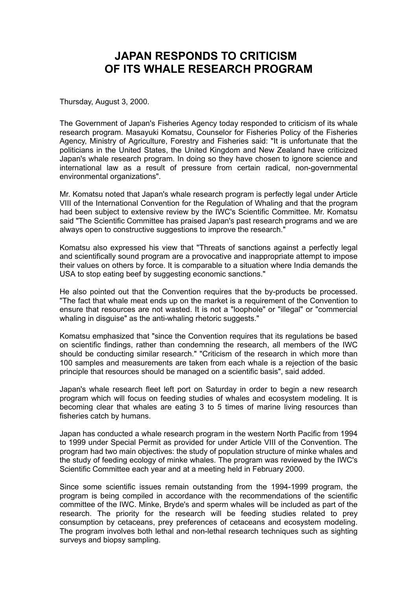## **JAPAN RESPONDS TO CRITICISM OF ITS WHALE RESEARCH PROGRAM**

Thursday, August 3, 2000.

The Government of Japan's Fisheries Agency today responded to criticism of its whale research program. Masayuki Komatsu, Counselor for Fisheries Policy of the Fisheries Agency, Ministry of Agriculture, Forestry and Fisheries said: "It is unfortunate that the politicians in the United States, the United Kingdom and New Zealand have criticized Japan's whale research program. In doing so they have chosen to ignore science and international law as a result of pressure from certain radical, non-governmental environmental organizations".

Mr. Komatsu noted that Japan's whale research program is perfectly legal under Article VIII of the International Convention for the Regulation of Whaling and that the program had been subject to extensive review by the IWC's Scientific Committee. Mr. Komatsu said "The Scientific Committee has praised Japan's past research programs and we are always open to constructive suggestions to improve the research."

Komatsu also expressed his view that "Threats of sanctions against a perfectly legal and scientifically sound program are a provocative and inappropriate attempt to impose their values on others by force. It is comparable to a situation where India demands the USA to stop eating beef by suggesting economic sanctions."

He also pointed out that the Convention requires that the by-products be processed. "The fact that whale meat ends up on the market is a requirement of the Convention to ensure that resources are not wasted. It is not a "loophole" or "illegal" or "commercial whaling in disquise" as the anti-whaling rhetoric suggests."

Komatsu emphasized that "since the Convention requires that its regulations be based on scientific findings, rather than condemning the research, all members of the IWC should be conducting similar research." "Criticism of the research in which more than 100 samples and measurements are taken from each whale is a rejection of the basic principle that resources should be managed on a scientific basis", said added.

Japan's whale research fleet left port on Saturday in order to begin a new research program which will focus on feeding studies of whales and ecosystem modeling. It is becoming clear that whales are eating 3 to 5 times of marine living resources than fisheries catch by humans.

Japan has conducted a whale research program in the western North Pacific from 1994 to 1999 under Special Permit as provided for under Article VIII of the Convention. The program had two main objectives: the study of population structure of minke whales and the study of feeding ecology of minke whales. The program was reviewed by the IWC's Scientific Committee each year and at a meeting held in February 2000.

Since some scientific issues remain outstanding from the 1994-1999 program, the program is being compiled in accordance with the recommendations of the scientific committee of the IWC. Minke, Bryde's and sperm whales will be included as part of the research. The priority for the research will be feeding studies related to prey consumption by cetaceans, prey preferences of cetaceans and ecosystem modeling. The program involves both lethal and non-lethal research techniques such as sighting surveys and biopsy sampling.